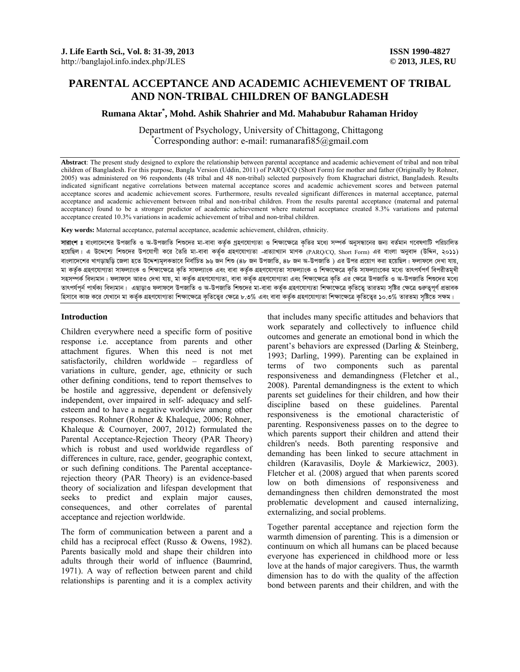# **PARENTAL ACCEPTANCE AND ACADEMIC ACHIEVEMENT OF TRIBAL AND NON-TRIBAL CHILDREN OF BANGLADESH**

# **Rumana Aktar\* , Mohd. Ashik Shahrier and Md. Mahabubur Rahaman Hridoy**

 Department of Psychology, University of Chittagong, Chittagong \* Corresponding author: e-mail: rumanarafi $85$ @gmail.com

**Abstract**: The present study designed to explore the relationship between parental acceptance and academic achievement of tribal and non tribal children of Bangladesh. For this purpose, Bangla Version (Uddin, 2011) of PARQ/CQ (Short Form) for mother and father (Originally by Rohner, 2005) was administered on 96 respondents (48 tribal and 48 non-tribal) selected purposively from Khagrachari district, Bangladesh. Results indicated significant negative correlations between maternal acceptance scores and academic achievement scores and between paternal acceptance scores and academic achievement scores. Furthermore, results revealed significant differences in maternal acceptance, paternal acceptance and academic achievement between tribal and non-tribal children. From the results parental acceptance (maternal and paternal acceptance) found to be a stronger predictor of academic achievement where maternal acceptance created 8.3% variations and paternal acceptance created 10.3% variations in academic achievement of tribal and non-tribal children.

**Key words:** Maternal acceptance, paternal acceptance, academic achievement, children, ethnicity.

**সারাংশ ঃ** বাংলাদেশের উপজাতি ও অ-উপজাতি শিশুদের মা-বাবা কর্তৃক গ্রহণযোগ্যতা ও শিক্ষাক্ষেত্রে কৃতির মধ্যে সম্পর্ক অনুসন্ধানের জন্য বর্তমান গবেষণাটি পরিচালিত হয়েছিল। এ উদ্দেশ্যে শিশুদের উপযোগী করে তৈরি মা-বাবা কর্তৃক গ্রহণযোগ্যতা -প্রত্যাখ্যান মাণক (PARQ/CQ, Short Form) এর বাংলা অনুবাদ (উদ্দিন, ২০১১) বাংলাদেশের খাগড়াছড়ি জেলা হতে উদ্দেশ্যমূলকভাবে নির্বাচিত ৯৬ জন শিশু (৪৮ জন উপজাতি, ৪৮ জন অ-উপজাতি) এর উপর প্রয়োগ করা হয়েছিল। ফলাফলে দেখা যায়, মা কৰ্তক গ্ৰহণযোগ্যতা সাফল্যাংক ও শিক্ষাক্ষেত্ৰে কতি সাফল্যাংক এবং বাবা কৰ্তক গ্ৰহণযোগ্যতা সাফল্যাংকত্বে কতি সাফল্যাংকের মধ্যে তাৎপৰ্যপৰ্ণ বিপরীতমুখী সহসম্পৰ্ক বিদ্যমান। ফলাফলে আরও দেখা যায়, মা কর্তক গ্রহণযোগ্যতা, বাবা কর্তক গ্রহণযোগ্যতা এবং শিক্ষাক্ষেত্রে করি<br>অসম্পৰ্ক বিদ্যমান। ফলাফলে আরও দেখা যায়, মা কর্তক গ্রহণযোগ্যতা, বাবা কর্তক গ্রহণযোগ্যতা এবং শিক্ষাক্তে করি এ তাৎপৰ্যপূৰ্ন পাৰ্থক্য বিদ্যমান। এছাড়াও ফলাফলে উপজাতি ও অ-উপজাতি শিশুদেৱ মা-বাবা কৰ্তক গ্ৰহণযোগ্যতা শিক্ষাকে ক্ৰতিত্ব তারতম্য সৃষ্টির ক্ষেত্রে গুরুত্বপূর্ণ প্রভাবক হিসাবে কাজ করে যেখানে মা কর্তৃক গ্রহণযোগ্যতা শিক্ষাক্ষেত্রে কৃতিত্বের ক্ষেত্রে ৮.৩% এবং বাবা কর্তৃক গ্রহণযোগ্যতা শিক্ষাক্ষেত্রে কৃতিত্বের ১০.৩% তারতম্য সৃষ্টিতে সক্ষম।

## **Introduction**

Children everywhere need a specific form of positive response i.e. acceptance from parents and other attachment figures. When this need is not met satisfactorily, children worldwide – regardless of variations in culture, gender, age, ethnicity or such other defining conditions, tend to report themselves to be hostile and aggressive, dependent or defensively independent, over impaired in self- adequacy and selfesteem and to have a negative worldview among other responses. Rohner (Rohner & Khaleque, 2006; Rohner, Khaleque & Cournoyer, 2007, 2012) formulated the Parental Acceptance-Rejection Theory (PAR Theory) which is robust and used worldwide regardless of differences in culture, race, gender, geographic context, or such defining conditions. The Parental acceptancerejection theory (PAR Theory) is an evidence-based theory of socialization and lifespan development that seeks to predict and explain major causes, consequences, and other correlates of parental acceptance and rejection worldwide.

The form of communication between a parent and a child has a reciprocal effect (Russo & Owens, 1982). Parents basically mold and shape their children into adults through their world of influence (Baumrind, 1971). A way of reflection between parent and child relationships is parenting and it is a complex activity that includes many specific attitudes and behaviors that work separately and collectively to influence child outcomes and generate an emotional bond in which the parent's behaviors are expressed (Darling & Steinberg, 1993; Darling, 1999). Parenting can be explained in terms of two components such as parental responsiveness and demandingness (Fletcher et al., 2008). Parental demandingness is the extent to which parents set guidelines for their children, and how their discipline based on these guidelines. Parental responsiveness is the emotional characteristic of parenting. Responsiveness passes on to the degree to which parents support their children and attend their children's needs. Both parenting responsive and demanding has been linked to secure attachment in children (Karavasilis, Doyle & Markiewicz, 2003). Fletcher et al. (2008) argued that when parents scored low on both dimensions of responsiveness and demandingness then children demonstrated the most problematic development and caused internalizing, externalizing, and social problems.

Together parental acceptance and rejection form the warmth dimension of parenting. This is a dimension or continuum on which all humans can be placed because everyone has experienced in childhood more or less love at the hands of major caregivers. Thus, the warmth dimension has to do with the quality of the affection bond between parents and their children, and with the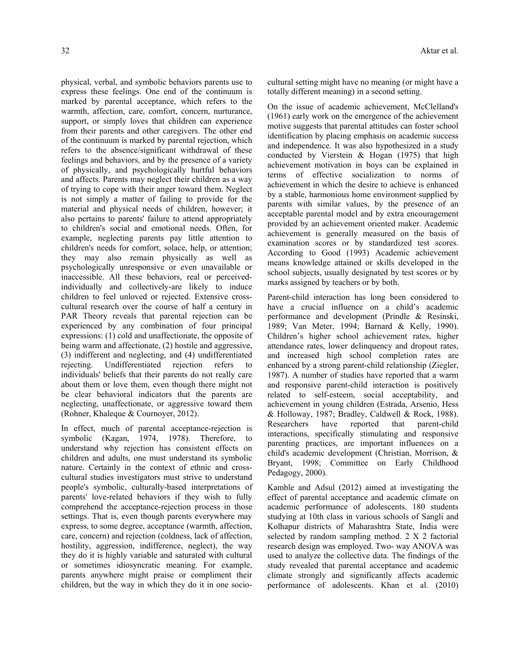physical, verbal, and symbolic behaviors parents use to express these feelings. One end of the continuum is marked by parental acceptance, which refers to the warmth, affection, care, comfort, concern, nurturance, support, or simply loves that children can experience from their parents and other caregivers. The other end of the continuum is marked by parental rejection, which refers to the absence/significant withdrawal of these feelings and behaviors, and by the presence of a variety of physically, and psychologically hurtful behaviors and affects. Parents may neglect their children as a way of trying to cope with their anger toward them. Neglect is not simply a matter of failing to provide for the material and physical needs of children, however; it also pertains to parents' failure to attend appropriately to children's social and emotional needs. Often, for example, neglecting parents pay little attention to children's needs for comfort, solace, help, or attention; they may also remain physically as well as psychologically unresponsive or even unavailable or inaccessible. All these behaviors, real or perceivedindividually and collectively-are likely to induce children to feel unloved or rejected. Extensive crosscultural research over the course of half a century in PAR Theory reveals that parental rejection can be experienced by any combination of four principal expressions: (1) cold and unaffectionate, the opposite of being warm and affectionate, (2) hostile and aggressive, (3) indifferent and neglecting, and (4) undifferentiated rejecting. Undifferentiated rejection refers to individuals' beliefs that their parents do not really care about them or love them, even though there might not be clear behavioral indicators that the parents are neglecting, unaffectionate, or aggressive toward them (Rohner, Khaleque & Cournoyer, 2012).

In effect, much of parental acceptance-rejection is symbolic (Kagan, 1974, 1978). Therefore, to understand why rejection has consistent effects on children and adults, one must understand its symbolic nature. Certainly in the context of ethnic and crosscultural studies investigators must strive to understand people's symbolic, culturally-based interpretations of parents' love-related behaviors if they wish to fully comprehend the acceptance-rejection process in those settings. That is, even though parents everywhere may express, to some degree, acceptance (warmth, affection, care, concern) and rejection (coldness, lack of affection, hostility, aggression, indifference, neglect), the way they do it is highly variable and saturated with cultural or sometimes idiosyncratic meaning. For example, parents anywhere might praise or compliment their children, but the way in which they do it in one sociocultural setting might have no meaning (or might have a totally different meaning) in a second setting.

On the issue of academic achievement, McClelland's (1961) early work on the emergence of the achievement motive suggests that parental attitudes can foster school identification by placing emphasis on academic success and independence. It was also hypothesized in a study conducted by Vierstein & Hogan (1975) that high achievement motivation in boys can be explained in terms of effective socialization to norms of achievement in which the desire to achieve is enhanced by a stable, harmonious home environment supplied by parents with similar values, by the presence of an acceptable parental model and by extra encouragement provided by an achievement oriented maker. Academic achievement is generally measured on the basis of examination scores or by standardized test scores. According to Good (1993) Academic achievement means knowledge attained or skills developed in the school subjects, usually designated by test scores or by marks assigned by teachers or by both.

Parent-child interaction has long been considered to have a crucial influence on a child's academic performance and development (Prindle & Resinski, 1989; Van Meter, 1994; Barnard & Kelly, 1990). Children's higher school achievement rates, higher attendance rates, lower delinquency and dropout rates, and increased high school completion rates are enhanced by a strong parent-child relationship (Ziegler, 1987). A number of studies have reported that a warm and responsive parent-child interaction is positively related to self-esteem, social acceptability, and achievement in young children (Estrada, Arsenio, Hess & Holloway, 1987; Bradley, Caldwell & Rock, 1988). Researchers have reported that parent-child interactions, specifically stimulating and responsive parenting practices, are important influences on a child's academic development (Christian, Morrison, & Bryant, 1998; Committee on Early Childhood Pedagogy, 2000).

Kamble and Adsul (2012) aimed at investigating the effect of parental acceptance and academic climate on academic performance of adolescents. 180 students studying at 10th class in various schools of Sangli and Kolhapur districts of Maharashtra State, India were selected by random sampling method. 2 X 2 factorial research design was employed. Two- way ANOVA was used to analyze the collective data. The findings of the study revealed that parental acceptance and academic climate strongly and significantly affects academic performance of adolescents. Khan et al. (2010)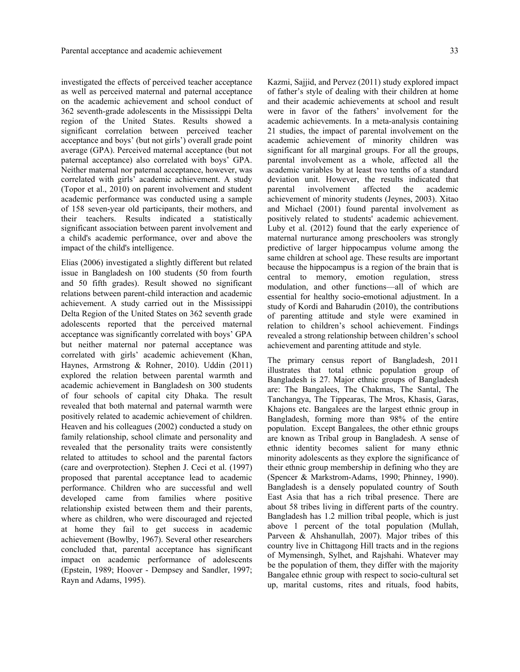investigated the effects of perceived teacher acceptance as well as perceived maternal and paternal acceptance on the academic achievement and school conduct of 362 seventh-grade adolescents in the Mississippi Delta region of the United States. Results showed a significant correlation between perceived teacher acceptance and boys' (but not girls') overall grade point average (GPA). Perceived maternal acceptance (but not paternal acceptance) also correlated with boys' GPA. Neither maternal nor paternal acceptance, however, was correlated with girls' academic achievement. A study (Topor et al., 2010) on parent involvement and student academic performance was conducted using a sample of 158 seven-year old participants, their mothers, and their teachers. Results indicated a statistically significant association between parent involvement and a child's academic performance, over and above the impact of the child's intelligence.

Elias (2006) investigated a slightly different but related issue in Bangladesh on 100 students (50 from fourth and 50 fifth grades). Result showed no significant relations between parent-child interaction and academic achievement. A study carried out in the Mississippi Delta Region of the United States on 362 seventh grade adolescents reported that the perceived maternal acceptance was significantly correlated with boys' GPA but neither maternal nor paternal acceptance was correlated with girls' academic achievement (Khan, Haynes, Armstrong & Rohner, 2010). Uddin (2011) explored the relation between parental warmth and academic achievement in Bangladesh on 300 students of four schools of capital city Dhaka. The result revealed that both maternal and paternal warmth were positively related to academic achievement of children. Heaven and his colleagues (2002) conducted a study on family relationship, school climate and personality and revealed that the personality traits were consistently related to attitudes to school and the parental factors (care and overprotection). Stephen J. Ceci et al. (1997) proposed that parental acceptance lead to academic performance. Children who are successful and well developed came from families where positive relationship existed between them and their parents, where as children, who were discouraged and rejected at home they fail to get success in academic achievement (Bowlby, 1967). Several other researchers concluded that, parental acceptance has significant impact on academic performance of adolescents (Epstein, 1989; Hoover - Dempsey and Sandler, 1997; Rayn and Adams, 1995).

Kazmi, Sajjid, and Pervez (2011) study explored impact of father's style of dealing with their children at home and their academic achievements at school and result were in favor of the fathers' involvement for the academic achievements. In a meta-analysis containing 21 studies, the impact of parental involvement on the academic achievement of minority children was significant for all marginal groups. For all the groups, parental involvement as a whole, affected all the academic variables by at least two tenths of a standard deviation unit. However, the results indicated that parental involvement affected the academic achievement of minority students (Jeynes, 2003). Xitao and Michael (2001) found parental involvement as positively related to students' academic achievement. Luby et al. (2012) found that the early experience of maternal nurturance among preschoolers was strongly predictive of larger hippocampus volume among the same children at school age. These results are important because the hippocampus is a region of the brain that is central to memory, emotion regulation, stress modulation, and other functions—all of which are essential for healthy socio-emotional adjustment. In a study of Kordi and Baharudin (2010), the contributions of parenting attitude and style were examined in relation to children's school achievement. Findings revealed a strong relationship between children's school achievement and parenting attitude and style.

The primary census report of Bangladesh, 2011 illustrates that total ethnic population group of Bangladesh is 27. Major ethnic groups of Bangladesh are: The Bangalees, The Chakmas, The Santal, The Tanchangya, The Tippearas, The Mros, Khasis, Garas, Khajons etc. Bangalees are the largest ethnic group in Bangladesh, forming more than 98% of the entire population. Except Bangalees, the other ethnic groups are known as Tribal group in Bangladesh. A sense of ethnic identity becomes salient for many ethnic minority adolescents as they explore the significance of their ethnic group membership in defining who they are (Spencer & Markstrom-Adams, 1990; Phinney, 1990). Bangladesh is a densely populated country of South East Asia that has a rich tribal presence. There are about 58 tribes living in different parts of the country. Bangladesh has 1.2 million tribal people, which is just above 1 percent of the total population (Mullah, Parveen & Ahshanullah, 2007). Major tribes of this country live in Chittagong Hill tracts and in the regions of Mymensingh, Sylhet, and Rajshahi. Whatever may be the population of them, they differ with the majority Bangalee ethnic group with respect to socio-cultural set up, marital customs, rites and rituals, food habits,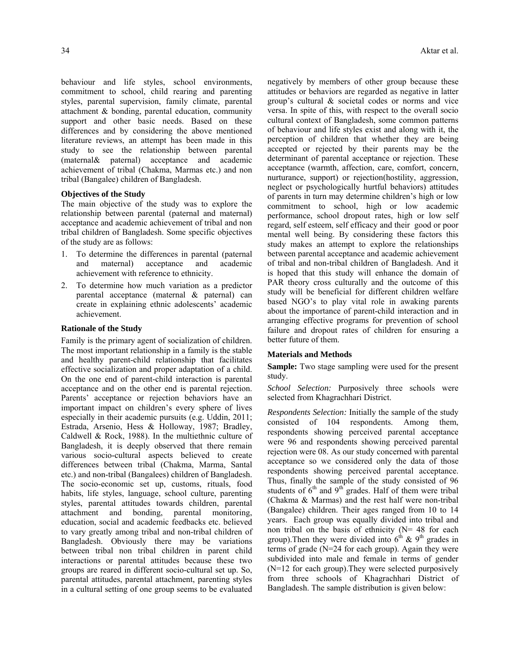behaviour and life styles, school environments, commitment to school, child rearing and parenting styles, parental supervision, family climate, parental attachment & bonding, parental education, community support and other basic needs. Based on these differences and by considering the above mentioned literature reviews, an attempt has been made in this study to see the relationship between parental (maternal& paternal) acceptance and academic achievement of tribal (Chakma, Marmas etc.) and non tribal (Bangalee) children of Bangladesh.

### **Objectives of the Study**

The main objective of the study was to explore the relationship between parental (paternal and maternal) acceptance and academic achievement of tribal and non tribal children of Bangladesh. Some specific objectives of the study are as follows:

- 1. To determine the differences in parental (paternal and maternal) acceptance and academic achievement with reference to ethnicity.
- 2. To determine how much variation as a predictor parental acceptance (maternal & paternal) can create in explaining ethnic adolescents' academic achievement.

### **Rationale of the Study**

Family is the primary agent of socialization of children. The most important relationship in a family is the stable and healthy parent-child relationship that facilitates effective socialization and proper adaptation of a child. On the one end of parent-child interaction is parental acceptance and on the other end is parental rejection. Parents' acceptance or rejection behaviors have an important impact on children's every sphere of lives especially in their academic pursuits (e.g. Uddin, 2011; Estrada, Arsenio, Hess & Holloway, 1987; Bradley, Caldwell & Rock, 1988). In the multiethnic culture of Bangladesh, it is deeply observed that there remain various socio-cultural aspects believed to create differences between tribal (Chakma, Marma, Santal etc.) and non-tribal (Bangalees) children of Bangladesh. The socio-economic set up, customs, rituals, food habits, life styles, language, school culture, parenting styles, parental attitudes towards children, parental attachment and bonding, parental monitoring, education, social and academic feedbacks etc. believed to vary greatly among tribal and non-tribal children of Bangladesh. Obviously there may be variations between tribal non tribal children in parent child interactions or parental attitudes because these two groups are reared in different socio-cultural set up. So, parental attitudes, parental attachment, parenting styles in a cultural setting of one group seems to be evaluated

negatively by members of other group because these attitudes or behaviors are regarded as negative in latter group's cultural & societal codes or norms and vice versa. In spite of this, with respect to the overall socio cultural context of Bangladesh, some common patterns of behaviour and life styles exist and along with it, the perception of children that whether they are being accepted or rejected by their parents may be the determinant of parental acceptance or rejection. These acceptance (warmth, affection, care, comfort, concern, nurturance, support) or rejection(hostility, aggression, neglect or psychologically hurtful behaviors) attitudes of parents in turn may determine children's high or low commitment to school, high or low academic performance, school dropout rates, high or low self regard, self esteem, self efficacy and their good or poor mental well being. By considering these factors this study makes an attempt to explore the relationships between parental acceptance and academic achievement of tribal and non-tribal children of Bangladesh. And it is hoped that this study will enhance the domain of PAR theory cross culturally and the outcome of this study will be beneficial for different children welfare based NGO's to play vital role in awaking parents about the importance of parent-child interaction and in arranging effective programs for prevention of school failure and dropout rates of children for ensuring a better future of them.

### **Materials and Methods**

**Sample:** Two stage sampling were used for the present study.

*School Selection:* Purposively three schools were selected from Khagrachhari District.

*Respondents Selection:* Initially the sample of the study consisted of 104 respondents. Among them, respondents showing perceived parental acceptance were 96 and respondents showing perceived parental rejection were 08. As our study concerned with parental acceptance so we considered only the data of those respondents showing perceived parental acceptance. Thus, finally the sample of the study consisted of 96 students of  $6<sup>th</sup>$  and  $9<sup>th</sup>$  grades. Half of them were tribal (Chakma & Marmas) and the rest half were non-tribal (Bangalee) children. Their ages ranged from 10 to 14 years. Each group was equally divided into tribal and non tribal on the basis of ethnicity  $(N= 48$  for each group). Then they were divided into  $6<sup>th</sup>$  & 9<sup>th</sup> grades in terms of grade (N=24 for each group). Again they were subdivided into male and female in terms of gender (N=12 for each group).They were selected purposively from three schools of Khagrachhari District of Bangladesh. The sample distribution is given below: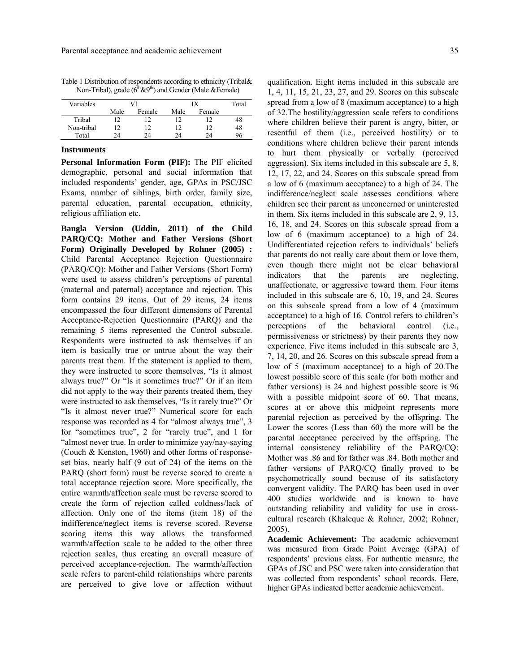| Variables  |      | VI     |      | IX     |    |  |
|------------|------|--------|------|--------|----|--|
|            | Male | Female | Male | Female |    |  |
| Tribal     |      |        |      |        | 48 |  |
| Non-tribal | 12   | 12     | 12   | 12     | 48 |  |
| Total      | 24   | 24     | 24   | 24     | 96 |  |

Table 1 Distribution of respondents according to ethnicity (Tribal& Non-Tribal), grade  $(6^{th} \& 9^{th})$  and Gender (Male &Female)

### **Instruments**

**Personal Information Form (PIF):** The PIF elicited demographic, personal and social information that included respondents' gender, age, GPAs in PSC/JSC Exams, number of siblings, birth order, family size, parental education, parental occupation, ethnicity, religious affiliation etc.

**Bangla Version (Uddin, 2011) of the Child PARQ/CQ: Mother and Father Versions (Short Form) Originally Developed by Rohner (2005) :** Child Parental Acceptance Rejection Questionnaire (PARQ/CQ): Mother and Father Versions (Short Form) were used to assess children's perceptions of parental (maternal and paternal) acceptance and rejection. This form contains 29 items. Out of 29 items, 24 items encompassed the four different dimensions of Parental Acceptance-Rejection Questionnaire (PARQ) and the remaining 5 items represented the Control subscale. Respondents were instructed to ask themselves if an item is basically true or untrue about the way their parents treat them. If the statement is applied to them, they were instructed to score themselves, "Is it almost always true?" Or "Is it sometimes true?" Or if an item did not apply to the way their parents treated them, they were instructed to ask themselves, "Is it rarely true?" Or "Is it almost never true?" Numerical score for each response was recorded as 4 for "almost always true", 3 for "sometimes true", 2 for "rarely true", and 1 for "almost never true. In order to minimize yay/nay-saying (Couch & Kenston, 1960) and other forms of responseset bias, nearly half (9 out of 24) of the items on the PARQ (short form) must be reverse scored to create a total acceptance rejection score. More specifically, the entire warmth/affection scale must be reverse scored to create the form of rejection called coldness/lack of affection. Only one of the items (item 18) of the indifference/neglect items is reverse scored. Reverse scoring items this way allows the transformed warmth/affection scale to be added to the other three rejection scales, thus creating an overall measure of perceived acceptance-rejection. The warmth/affection scale refers to parent-child relationships where parents are perceived to give love or affection without

qualification. Eight items included in this subscale are 1, 4, 11, 15, 21, 23, 27, and 29. Scores on this subscale spread from a low of 8 (maximum acceptance) to a high of 32.The hostility/aggression scale refers to conditions where children believe their parent is angry, bitter, or resentful of them (i.e., perceived hostility) or to conditions where children believe their parent intends to hurt them physically or verbally (perceived aggression). Six items included in this subscale are 5, 8, 12, 17, 22, and 24. Scores on this subscale spread from a low of 6 (maximum acceptance) to a high of 24. The indifference/neglect scale assesses conditions where children see their parent as unconcerned or uninterested in them. Six items included in this subscale are 2, 9, 13, 16, 18, and 24. Scores on this subscale spread from a low of 6 (maximum acceptance) to a high of 24. Undifferentiated rejection refers to individuals' beliefs that parents do not really care about them or love them, even though there might not be clear behavioral indicators that the parents are neglecting, unaffectionate, or aggressive toward them. Four items included in this subscale are 6, 10, 19, and 24. Scores on this subscale spread from a low of 4 (maximum acceptance) to a high of 16. Control refers to children's perceptions of the behavioral control (i.e., permissiveness or strictness) by their parents they now experience. Five items included in this subscale are 3, 7, 14, 20, and 26. Scores on this subscale spread from a low of 5 (maximum acceptance) to a high of 20.The lowest possible score of this scale (for both mother and father versions) is 24 and highest possible score is 96 with a possible midpoint score of 60. That means, scores at or above this midpoint represents more parental rejection as perceived by the offspring. The Lower the scores (Less than 60) the more will be the parental acceptance perceived by the offspring. The internal consistency reliability of the PARQ/CQ: Mother was .86 and for father was .84. Both mother and father versions of PARQ/CQ finally proved to be psychometrically sound because of its satisfactory convergent validity. The PARQ has been used in over 400 studies worldwide and is known to have outstanding reliability and validity for use in crosscultural research (Khaleque & Rohner, 2002; Rohner, 2005).

**Academic Achievement:** The academic achievement was measured from Grade Point Average (GPA) of respondents' previous class. For authentic measure, the GPAs of JSC and PSC were taken into consideration that was collected from respondents' school records. Here, higher GPAs indicated better academic achievement.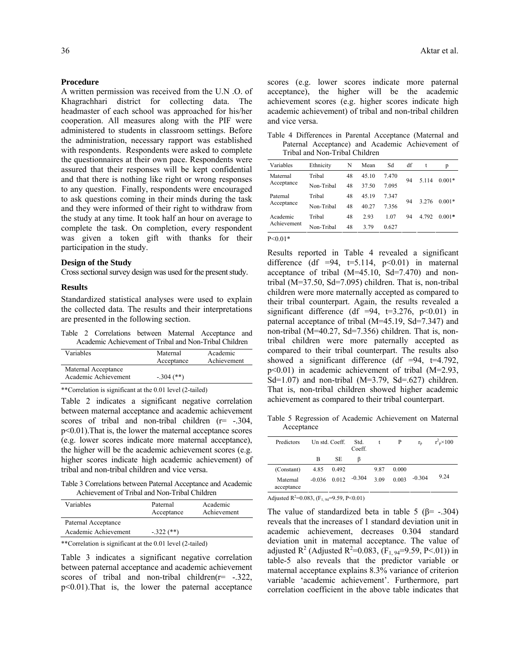# **Procedure**

A written permission was received from the U.N .O. of Khagrachhari district for collecting data. The headmaster of each school was approached for his/her cooperation. All measures along with the PIF were administered to students in classroom settings. Before the administration, necessary rapport was established with respondents. Respondents were asked to complete the questionnaires at their own pace. Respondents were assured that their responses will be kept confidential and that there is nothing like right or wrong responses to any question. Finally, respondents were encouraged to ask questions coming in their minds during the task and they were informed of their right to withdraw from the study at any time. It took half an hour on average to complete the task. On completion, every respondent was given a token gift with thanks for their participation in the study.

# **Design of the Study**

Cross sectional survey design was used for the present study.

### **Results**

Standardized statistical analyses were used to explain the collected data. The results and their interpretations are presented in the following section.

Table 2 Correlations between Maternal Acceptance and Academic Achievement of Tribal and Non-Tribal Children

| Variables            | Maternal     | Academic<br>Achievement |  |  |
|----------------------|--------------|-------------------------|--|--|
|                      | Acceptance   |                         |  |  |
| Maternal Acceptance  |              |                         |  |  |
| Academic Achievement | $-.304$ (**) |                         |  |  |
| .                    |              |                         |  |  |

\*\*Correlation is significant at the 0.01 level (2-tailed)

Table 2 indicates a significant negative correlation between maternal acceptance and academic achievement scores of tribal and non-tribal children  $(r= -0.304,$ p<0.01).That is, the lower the maternal acceptance scores (e.g. lower scores indicate more maternal acceptance), the higher will be the academic achievement scores (e.g. higher scores indicate high academic achievement) of tribal and non-tribal children and vice versa.

Table 3 Correlations between Paternal Acceptance and Academic Achievement of Tribal and Non-Tribal Children

| Variables            | Paternal<br>Acceptance | Academic<br>Achievement |
|----------------------|------------------------|-------------------------|
| Paternal Acceptance  |                        |                         |
| Academic Achievement | $-322$ (**)            |                         |

\*\*Correlation is significant at the 0.01 level (2-tailed)

Table 3 indicates a significant negative correlation between paternal acceptance and academic achievement scores of tribal and non-tribal children( $r = -0.322$ , p<0.01).That is, the lower the paternal acceptance

scores (e.g. lower scores indicate more paternal acceptance), the higher will be the academic achievement scores (e.g. higher scores indicate high academic achievement) of tribal and non-tribal children and vice versa.

Table 4 Differences in Parental Acceptance (Maternal and Paternal Acceptance) and Academic Achievement of Tribal and Non-Tribal Children

| Variables               | Ethnicity  | N  | Mean  | Sd    | df |       | p        |
|-------------------------|------------|----|-------|-------|----|-------|----------|
| Maternal<br>Acceptance  | Tribal     | 48 | 45.10 | 7.470 | 94 | 5.114 | $0.001*$ |
|                         | Non-Tribal | 48 | 37.50 | 7.095 |    |       |          |
| Paternal<br>Acceptance  | Tribal     | 48 | 45.19 | 7.347 | 94 | 3.276 | $0.001*$ |
|                         | Non-Tribal | 48 | 40.27 | 7.356 |    |       |          |
| Academic<br>Achievement | Tribal     | 48 | 2.93  | 1.07  | 94 | 4.792 | $0.001*$ |
|                         | Non-Tribal | 48 | 3.79  | 0.627 |    |       |          |
|                         |            |    |       |       |    |       |          |

P<0.01\*

Results reported in Table 4 revealed a significant difference (df =94,  $t=5.114$ ,  $p<0.01$ ) in maternal acceptance of tribal  $(M=45.10, Sd=7.470)$  and nontribal (M=37.50, Sd=7.095) children. That is, non-tribal children were more maternally accepted as compared to their tribal counterpart. Again, the results revealed a significant difference (df =94,  $t=3.276$ ,  $p<0.01$ ) in paternal acceptance of tribal (M=45.19, Sd=7.347) and non-tribal (M=40.27, Sd=7.356) children. That is, nontribal children were more paternally accepted as compared to their tribal counterpart. The results also showed a significant difference (df  $=94$ ,  $t=4.792$ , p<0.01) in academic achievement of tribal (M=2.93, Sd= $1.07$ ) and non-tribal (M= $3.79$ , Sd= $.627$ ) children. That is, non-tribal children showed higher academic achievement as compared to their tribal counterpart.

Table 5 Regression of Academic Achievement on Maternal Acceptance

| Predictors                           | Un std. Coeff.   |                | Std.<br>Coeff. |              | P              | $r_{n}$  | $r^2$ <sub>n</sub> $\times$ 100 |
|--------------------------------------|------------------|----------------|----------------|--------------|----------------|----------|---------------------------------|
|                                      | в                | SE             | B              |              |                |          |                                 |
| (Constant)<br>Maternal<br>acceptance | 4.85<br>$-0.036$ | 0.492<br>0.012 | $-0.304$       | 9.87<br>3.09 | 0.000<br>0.003 | $-0.304$ | 9.24                            |

Adjusted R<sup>2</sup>=0.083, (F<sub>1,94</sub>=9.59, P<0.01)

The value of standardized beta in table 5 ( $\beta$ = -.304) reveals that the increases of 1 standard deviation unit in academic achievement, decreases 0.304 standard deviation unit in maternal acceptance. The value of adjusted R<sup>2</sup> (Adjusted R<sup>2</sup>=0.083, (F<sub>1, 94</sub>=9.59, P<.01)) in table-5 also reveals that the predictor variable or maternal acceptance explains 8.3% variance of criterion variable 'academic achievement'. Furthermore, part correlation coefficient in the above table indicates that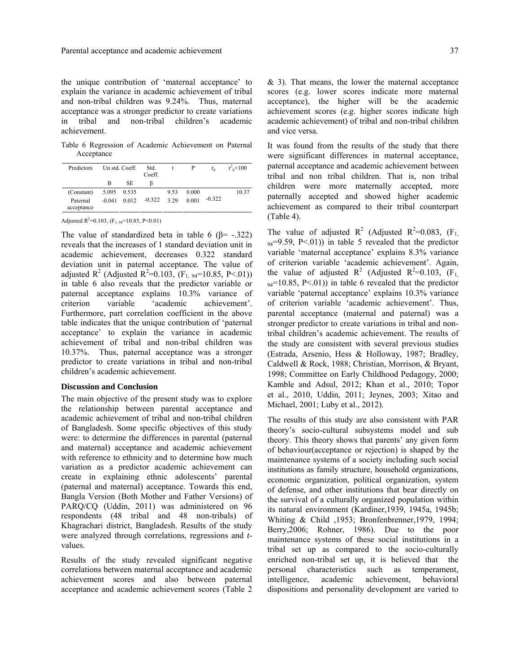the unique contribution of 'maternal acceptance' to explain the variance in academic achievement of tribal and non-tribal children was 9.24%. Thus, maternal acceptance was a stronger predictor to create variations in tribal and non-tribal children's academic achievement.

Table 6 Regression of Academic Achievement on Paternal Acceptance

| Predictors             | Un std. Coeff. |       | Std.<br>Coeff. |      | P     | $r_{p}$  | $r^2$ <sub>n</sub> $\times$ 100 |
|------------------------|----------------|-------|----------------|------|-------|----------|---------------------------------|
|                        | в              | SE.   | ß              |      |       |          |                                 |
| (Constant)             | 5.095          | 0.535 |                | 9.53 | 0.000 |          | 10.37                           |
| Paternal<br>acceptance | $-0.041$       | 0.012 | $-0.322$       | 3.29 | 0.001 | $-0.322$ |                                 |

Adjusted  $R^2$ =0.103,  $(F_{1, 94}$ =10.85, P<0.01)

The value of standardized beta in table 6 ( $\beta$ = -.322) reveals that the increases of 1 standard deviation unit in academic achievement, decreases 0.322 standard deviation unit in paternal acceptance. The value of adjusted R<sup>2</sup> (Adjusted R<sup>2</sup>=0.103, (F<sub>1, 94</sub>=10.85, P<.01)) in table 6 also reveals that the predictor variable or paternal acceptance explains 10.3% variance of criterion variable 'academic achievement'. Furthermore, part correlation coefficient in the above table indicates that the unique contribution of 'paternal acceptance' to explain the variance in academic achievement of tribal and non-tribal children was 10.37%. Thus, paternal acceptance was a stronger predictor to create variations in tribal and non-tribal children's academic achievement.

### **Discussion and Conclusion**

The main objective of the present study was to explore the relationship between parental acceptance and academic achievement of tribal and non-tribal children of Bangladesh. Some specific objectives of this study were: to determine the differences in parental (paternal and maternal) acceptance and academic achievement with reference to ethnicity and to determine how much variation as a predictor academic achievement can create in explaining ethnic adolescents' parental (paternal and maternal) acceptance. Towards this end, Bangla Version (Both Mother and Father Versions) of PARQ/CQ (Uddin, 2011) was administered on 96 respondents (48 tribal and 48 non-tribals) of Khagrachari district, Bangladesh. Results of the study were analyzed through correlations, regressions and *t*values.

Results of the study revealed significant negative correlations between maternal acceptance and academic achievement scores and also between paternal acceptance and academic achievement scores (Table 2  $& 3$ ). That means, the lower the maternal acceptance scores (e.g. lower scores indicate more maternal acceptance), the higher will be the academic achievement scores (e.g. higher scores indicate high academic achievement) of tribal and non-tribal children and vice versa.

It was found from the results of the study that there were significant differences in maternal acceptance, paternal acceptance and academic achievement between tribal and non tribal children. That is, non tribal children were more maternally accepted, more paternally accepted and showed higher academic achievement as compared to their tribal counterpart (Table 4).

The value of adjusted R<sup>2</sup> (Adjusted R<sup>2</sup>=0.083, (F<sub>1,</sub>  $_{94}$ =9.59, P<.01)) in table 5 revealed that the predictor variable 'maternal acceptance' explains 8.3% variance of criterion variable 'academic achievement'. Again, the value of adjusted R<sup>2</sup> (Adjusted R<sup>2</sup>=0.103,  $(F_1)$  $_{94}$ =10.85, P<.01)) in table 6 revealed that the predictor variable 'paternal acceptance' explains 10.3% variance of criterion variable 'academic achievement'. Thus, parental acceptance (maternal and paternal) was a stronger predictor to create variations in tribal and nontribal children's academic achievement. The results of the study are consistent with several previous studies (Estrada, Arsenio, Hess & Holloway, 1987; Bradley, Caldwell & Rock, 1988; Christian, Morrison, & Bryant, 1998; Committee on Early Childhood Pedagogy, 2000; Kamble and Adsul, 2012; Khan et al., 2010; Topor et al., 2010, Uddin, 2011; Jeynes, 2003; Xitao and Michael, 2001; Luby et al., 2012).

The results of this study are also consistent with PAR theory's socio-cultural subsystems model and sub theory. This theory shows that parents' any given form of behaviour(acceptance or rejection) is shaped by the maintenance systems of a society including such social institutions as family structure, household organizations, economic organization, political organization, system of defense, and other institutions that bear directly on the survival of a culturally organized population within its natural environment (Kardiner,1939, 1945a, 1945b; Whiting & Child ,1953; Bronfenbrenner,1979, 1994; Berry,2006; Rohner, 1986). Due to the poor maintenance systems of these social institutions in a tribal set up as compared to the socio-culturally enriched non-tribal set up, it is believed that the personal characteristics such as temperament, intelligence, academic achievement, behavioral dispositions and personality development are varied to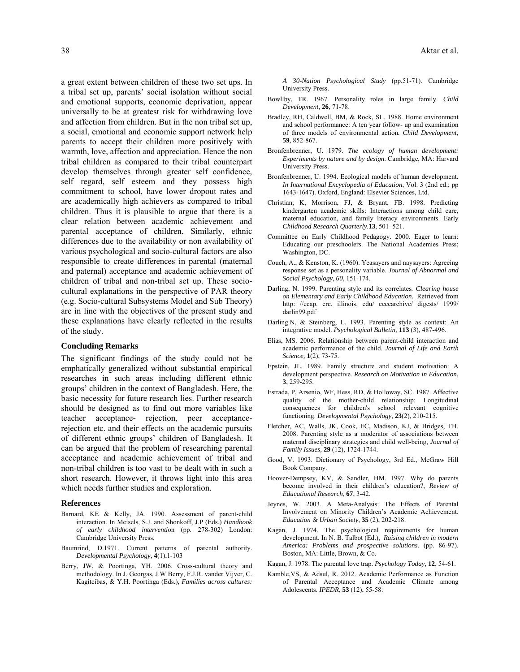a great extent between children of these two set ups. In a tribal set up, parents' social isolation without social and emotional supports, economic deprivation, appear universally to be at greatest risk for withdrawing love and affection from children. But in the non tribal set up, a social, emotional and economic support network help parents to accept their children more positively with warmth, love, affection and appreciation. Hence the non tribal children as compared to their tribal counterpart develop themselves through greater self confidence, self regard, self esteem and they possess high commitment to school, have lower dropout rates and are academically high achievers as compared to tribal children. Thus it is plausible to argue that there is a clear relation between academic achievement and parental acceptance of children. Similarly, ethnic differences due to the availability or non availability of various psychological and socio-cultural factors are also responsible to create differences in parental (maternal and paternal) acceptance and academic achievement of children of tribal and non-tribal set up. These sociocultural explanations in the perspective of PAR theory (e.g. Socio-cultural Subsystems Model and Sub Theory) are in line with the objectives of the present study and these explanations have clearly reflected in the results of the study.

## **Concluding Remarks**

The significant findings of the study could not be emphatically generalized without substantial empirical researches in such areas including different ethnic groups' children in the context of Bangladesh. Here, the basic necessity for future research lies. Further research should be designed as to find out more variables like teacher acceptance- rejection, peer acceptancerejection etc. and their effects on the academic pursuits of different ethnic groups' children of Bangladesh. It can be argued that the problem of researching parental acceptance and academic achievement of tribal and non-tribal children is too vast to be dealt with in such a short research. However, it throws light into this area which needs further studies and exploration.

#### **References**

- Barnard, KE & Kelly, JA. 1990. Assessment of parent-child interaction. In Meisels, S.J. and Shonkoff, J.P (Eds.) *Handbook of early childhood interventi*on (pp. 278-302) London: Cambridge University Press.
- Baumrind, D.1971. Current patterns of parental authority. *Developmental Psychology,* **4**(1),1-103
- Berry, JW, & Poortinga, YH. 2006. Cross-cultural theory and methodology. In J. Georgas, J.W Berry, F.J.R. vander Vijver, C. Kagitcibas, & Y.H. Poortinga (Eds.), *Families across cultures:*

*A 30-Nation Psychological Study* (pp.51-71)*.* Cambridge University Press.

- Bowllby, TR. 1967. Personality roles in large family. *Child Development*, **26**, 71-78.
- Bradley, RH, Caldwell, BM, & Rock, SL. 1988. Home environment and school performance: A ten year follow- up and examination of three models of environmental action*. Child Development*, **59**, 852-867.
- Bronfenbrenner, U. 1979. *The ecology of human development: Experiments by nature and by design*. Cambridge, MA: Harvard University Press.
- Bronfenbrenner, U. 1994. Ecological models of human development*. In International Encyclopedia of Education*, Vol. 3 (2nd ed.; pp 1643-1647). Oxford, England: Elsevier Sciences, Ltd.
- Christian, K, Morrison, FJ, & Bryant, FB. 1998. Predicting kindergarten academic skills: Interactions among child care, maternal education, and family literacy environments. Early *Childhood Research Quarterly*.**13**, 501–521.
- Committee on Early Childhood Pedagogy. 2000. Eager to learn: Educating our preschoolers. The National Academies Press; Washington, DC.
- Couch, A., & Kenston, K. (1960). Yeasayers and naysayers: Agreeing response set as a personality variable. *Journal of Abnormal and Social Psychology*, *60*, 151-174.
- Darling, N. 1999. Parenting style and its correlates*. Clearing house on Elementary and Early Childhood Education.* Retrieved from http: //ecap. crc. illinois. edu/ eecearchive/ digests/ 1999/ darlin99.pdf
- Darling.N, & Steinberg, L. 1993. Parenting style as context: An integrative model. *Psychological Bulletin,* **113** (3), 487-496.
- Elias, MS. 2006. Relationship between parent-child interaction and academic performance of the child. *Journal of Life and Earth Science,* **1**(2), 73-75.
- Epstein, JL. 1989. Family structure and student motivation: A development perspective. *Research on Motivation in Education*, **3**, 259-295.
- Estrada, P, Arsenio, WF, Hess, RD, & Holloway, SC. 1987. Affective quality of the mother-child relationship: Longitudinal consequences for children's school relevant cognitive functioning. *Developmental Psychology*, **23**(2), 210-215.
- Fletcher, AC, Walls, JK, Cook, EC, Madison, KJ, & Bridges, TH. 2008. Parenting style as a moderator of associations between maternal disciplinary strategies and child well-being, *Journal of Family Issues,* **29** (12), 1724-1744.
- Good, V. 1993. Dictionary of Psychology, 3rd Ed., McGraw Hill Book Company.
- Hoover-Dempsey, KV, & Sandler, HM. 1997. Why do parents become involved in their children's education?, *Review of Educational Research*, **67**, 3-42.
- Jeynes, W. 2003. A Meta-Analysis: The Effects of Parental Involvement on Minority Children's Academic Achievement. *Education & Urban Society*, **35** (2), 202-218.
- Kagan, J. 1974. The psychological requirements for human development. In N. B. Talbot (Ed.), *Raising children in modern America: Problems and prospective solutions.* (pp. 86-97). Boston, MA: Little, Brown, & Co.
- Kagan, J. 1978. The parental love trap. *Psychology Today,* **12**, 54-61.
- Kamble,VS, & Adsul, R. 2012. Academic Performance as Function of Parental Acceptance and Academic Climate among Adolescents. *IPEDR*, **53** (12), 55-58.